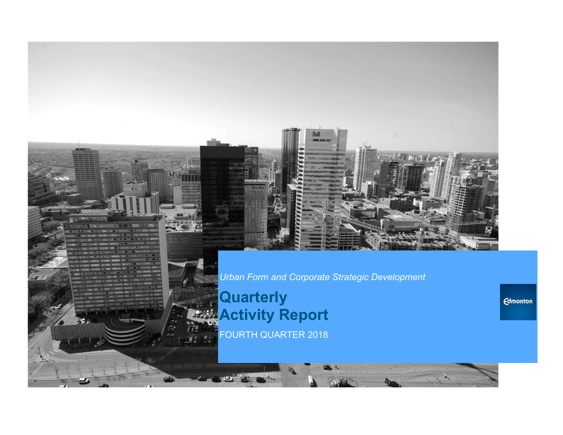

**Quarterly Activity Report** FOURTH QUARTER 2018

**Edmonton**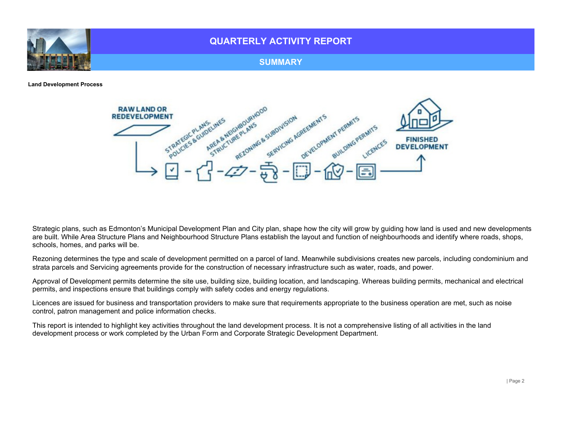

Land Development Process



Strategic plans, such as Edmonton's Municipal Development Plan and City plan, shape how the city will grow by guiding how land is used and new developments are built. While Area Structure Plans and Neighbourhood Structure Plans establish the layout and function of neighbourhoods and identify where roads, shops, schools, homes, and parks will be.

Rezoning determines the type and scale of development permitted on a parcel of land. Meanwhile subdivisions creates new parcels, including condominium and strata parcels and Servicing agreements provide for the construction of necessary infrastructure such as water, roads, and power.

Approval of Development permits determine the site use, building size, building location, and landscaping. Whereas building permits, mechanical and electrical permits, and inspections ensure that buildings comply with safety codes and energy regulations.

Licences are issued for business and transportation providers to make sure that requirements appropriate to the business operation are met, such as noise control, patron management and police information checks.

This report is intended to highlight key activities throughout the land development process. It is not a comprehensive listing of all activities in the land development process or work completed by the Urban Form and Corporate Strategic Development Department.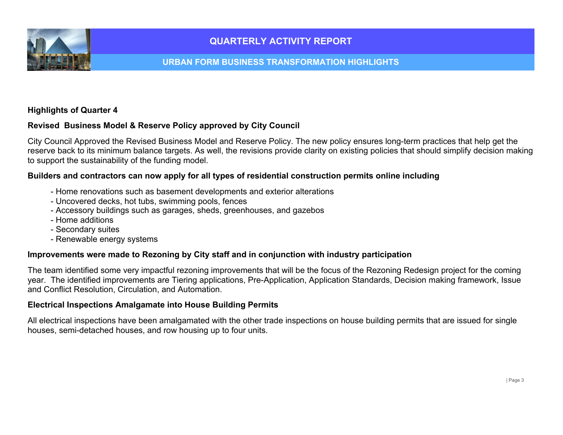

# URBAN FORM BUSINESS TRANSFORMATION HIGHLIGHTS

## Highlights of Quarter 4

## Revised Business Model & Reserve Policy approved by City Council

City Council Approved the Revised Business Model and Reserve Policy. The new policy ensures long-term practices that help get the reserve back to its minimum balance targets. As well, the revisions provide clarity on existing policies that should simplify decision making to support the sustainability of the funding model.

### Builders and contractors can now apply for all types of residential construction permits online including

- Home renovations such as basement developments and exterior alterations
- Uncovered decks, hot tubs, swimming pools, fences
- Accessory buildings such as garages, sheds, greenhouses, and gazebos
- Home additions
- Secondary suites
- Renewable energy systems

## Improvements were made to Rezoning by City staff and in conjunction with industry participation

The team identified some very impactful rezoning improvements that will be the focus of the Rezoning Redesign project for the coming year. The identified improvements are Tiering applications, Pre-Application, Application Standards, Decision making framework, Issue and Conflict Resolution, Circulation, and Automation.

#### Electrical Inspections Amalgamate into House Building Permits

All electrical inspections have been amalgamated with the other trade inspections on house building permits that are issued for single houses, semi-detached houses, and row housing up to four units.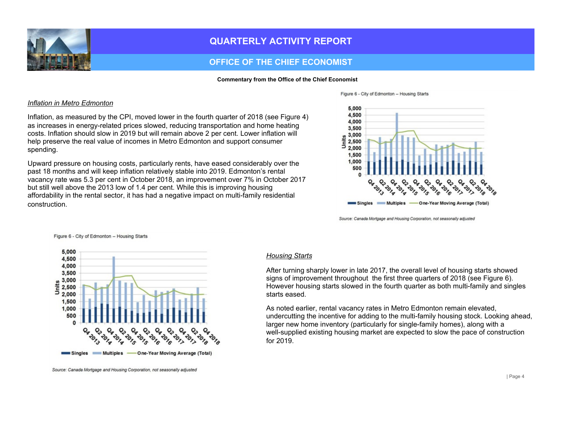

#### OFFICE OF THE CHIEF ECONOMIST

#### Commentary from the Office of the Chief Economist

Inflation in Metro Edmonton

Inflation, as measured by the CPI, moved lower in the fourth quarter of 2018 (see Figure 4) as increases in energy-related prices slowed, reducing transportation and home heating costs. Inflation should slow in 2019 but will remain above 2 per cent. Lower inflation will help preserve the real value of incomes in Metro Edmonton and support consumer spending.

Upward pressure on housing costs, particularly rents, have eased considerably over the past 18 months and will keep inflation relatively stable into 2019. Edmonton's rental vacancy rate was 5.3 per cent in October 2018, an improvement over 7% in October 2017 but still well above the 2013 low of 1.4 per cent. While this is improving housing affordability in the rental sector, it has had a negative impact on multi-family residential construction.



Figure 6 - City of Edmonton - Housing Starts

Source: Canada Mortgage and Housing Corporation, not seasonally adjusted



Source: Canada Mortgage and Housing Corporation, not seasonally adjusted

#### **Housing Starts**

After turning sharply lower in late 2017, the overall level of housing starts showed signs of improvement throughout the first three quarters of 2018 (see Figure 6). However housing starts slowed in the fourth quarter as both multi-family and singles starts eased.

As noted earlier, rental vacancy rates in Metro Edmonton remain elevated, undercutting the incentive for adding to the multi-family housing stock. Looking ahead, larger new home inventory (particularly for single-family homes), along with a well-supplied existing housing market are expected to slow the pace of construction for 2019.

|Page4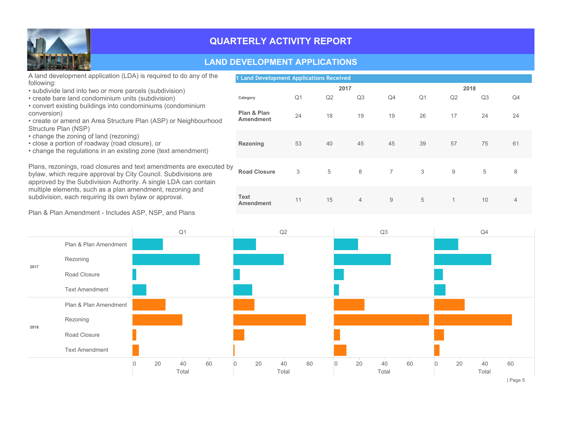

# LAND DEVELOPMENT APPLICATIONS

| A land development application (LDA) is required to do any of the |  |
|-------------------------------------------------------------------|--|
| following:                                                        |  |

- subdivide land into two or more parcels (subdivision)
- create bare land condominium units (subdivision)
- convert existing buildings into condominiums (condominium conversion)
- create or amend an Area Structure Plan (ASP) or Neighbourhood Structure Plan (NSP)
- change the zoning of land (rezoning)
- close a portion of roadway (road closure), or
- change the regulations in an existing zone (text amendment)

Plans, rezonings, road closures and text amendments are executed bylaw, which require approval by City Council. Subdivisions are approved by the Subdivision Authority. A single LDA can contain multiple elements, such as a plan amendment, rezoning and subdivision, each requiring its own bylaw or approval.

| 1 Land Development Applications Received |                |      |                |                |                |              |                |                |  |  |
|------------------------------------------|----------------|------|----------------|----------------|----------------|--------------|----------------|----------------|--|--|
|                                          |                | 2017 |                |                | 2018           |              |                |                |  |  |
| Category                                 | Q <sub>1</sub> | Q2   | Q <sub>3</sub> | Q4             | Q <sub>1</sub> | Q2           | Q <sub>3</sub> | Q4             |  |  |
| Plan & Plan<br><b>Amendment</b>          | 24             | 18   | 19             | 19             | 26             | 17           | 24             | 24             |  |  |
| Rezoning                                 | 53             | 40   | 45             | 45             | 39             | 57           | 75             | 61             |  |  |
| by<br><b>Road Closure</b>                | 3              | 5    | 8              | $\overline{7}$ | 3              | 9            | 5              | 8              |  |  |
| <b>Text</b><br><b>Amendment</b>          | 11             | 15   | $\overline{4}$ | 9              | 5              | $\mathbf{1}$ | 10             | $\overline{4}$ |  |  |



Plan & Plan Amendment - Includes ASP, NSP, and Plans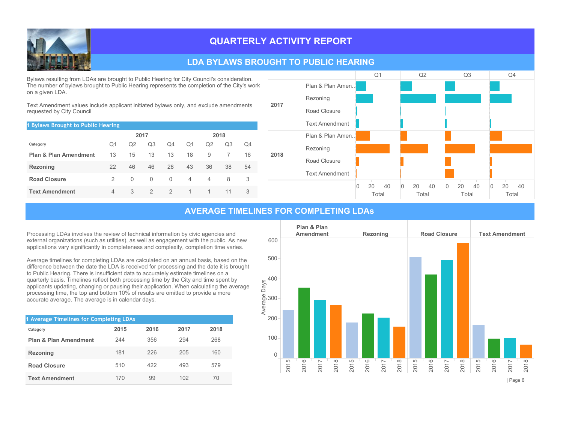

### LDA BYLAWS BROUGHT TO PUBLIC HEARING

Bylaws resulting from LDAs are brought to Public Hearing for City Council's consideration. The number of bylaws brought to Public Hearing represents the completion of the City's work on a given LDA.

Text Amendment values include applicant initiated bylaws only, and exclude amendments requested by City Council

| 1 Bylaws Brought to Public Hearing |                                              |          |               |               |                |    |    |    |  |  |  |  |
|------------------------------------|----------------------------------------------|----------|---------------|---------------|----------------|----|----|----|--|--|--|--|
|                                    |                                              | 2017     |               |               | 2018           |    |    |    |  |  |  |  |
| Category                           | Q1<br>Q3<br>Q4<br>Q2<br>Q3<br>Q1<br>Q2<br>Q4 |          |               |               |                |    |    |    |  |  |  |  |
| <b>Plan &amp; Plan Amendment</b>   | 13                                           | 15       | 13            | 13            | 18             | 9  |    | 16 |  |  |  |  |
| Rezoning                           | 22                                           | 46       | 46            | 28            | 43             | 36 | 38 | 54 |  |  |  |  |
| <b>Road Closure</b>                | 2                                            | $\Omega$ | $\Omega$      | $\Omega$      | $\overline{4}$ | 4  | 8  | 3  |  |  |  |  |
| <b>Text Amendment</b>              | 4                                            | 3        | $\mathcal{P}$ | $\mathcal{P}$ | $\mathbf{1}$   | 1  | 11 | 3  |  |  |  |  |



#### **AVERAGE TIMELINES FOR COMPLETING LDAS**

Processing LDAs involves the review of technical information by civic agencies and external organizations (such as utilities), as well as engagement with the public. As new applications vary significantly in completeness and complexity, completion time varies.

Average timelines for completing LDAs are calculated on an annual basis, based on the difference between the date the LDA is received for processing and the date it is brought to Public Hearing. There is insufficient data to accurately estimate timelines on a quarterly basis. Timelines reflect both processing time by the City and time spent by applicants updating, changing or pausing their application. When calculating the average processing time, the top and bottom 10% of results are omitted to provide a more accurate average. The average is in calendar days.

| 1 Average Timelines for Completing LDAs |      |      |      |      |  |  |  |  |  |  |  |
|-----------------------------------------|------|------|------|------|--|--|--|--|--|--|--|
| Category                                | 2015 | 2016 | 2017 | 2018 |  |  |  |  |  |  |  |
| <b>Plan &amp; Plan Amendment</b>        | 244  | 356  | 294  | 268  |  |  |  |  |  |  |  |
| Rezoning                                | 181  | 226  | 205  | 160  |  |  |  |  |  |  |  |
| <b>Road Closure</b>                     | 510  | 422  | 493  | 579  |  |  |  |  |  |  |  |
| <b>Text Amendment</b>                   | 170  | 99   | 102  | 70   |  |  |  |  |  |  |  |

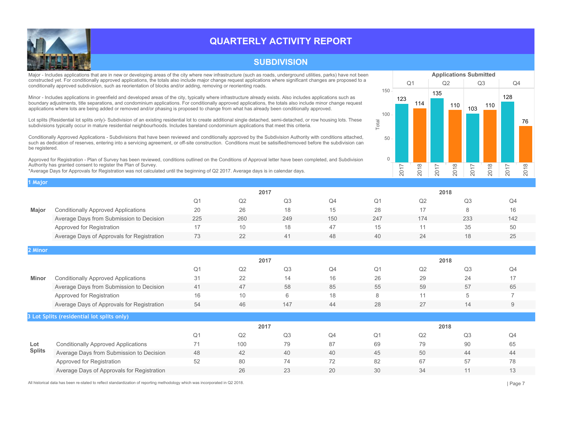

1Major

# QUARTERLY ACTIVITY REPORT

#### **SUBDIVISION**

Major - Includes applications that are in new or developing areas of the city where new infrastructure (such as roads, underground utilities, parks) have not been constructed yet. For conditionally approved applications, the totals also include major change request applications where significant changes are proposed to a conditionally approved subdivision, such as reorientation of blocks and/or adding, removing or reorienting roads.

Minor - Includes applications in greenfield and developed areas of the city, typically where infrastructure already exists. Also includes applications such as boundary adjustments, title separations, and condominium applications. For conditionally approved applications, the totals also include minor change request applications where lots are being added or removed and/or phasing is proposed to change from what has already been conditionally approved.

Lot splits (Residential lot splits only)- Subdivision of an existing residential lot to create additional single detached, semi-detached, or row housing lots. These subdivisions typically occur in mature residential neighbourhoods. Includes bareland condominium applications that meet this criteria.

Conditionally Approved Applications - Subdivisions that have been reviewed and conditionally approved by the Subdivision Authority with conditions attached, such as dedication of reserves, entering into a servicing agreement, or off-site construction. Conditions must be satisified/removed before the subdivision can be registered.

Approved for Registration - Plan of Survey has been reviewed, conditions outlined on the Conditions of Approval letter have been completed, and Subdivision Authority has granted consent to register the Plan of Survey.

\*Average Days for Approvals for Registration was not calculated until the beginning of Q2 2017. Average days is in calendar days.

**Applications Submitted** Q1 Q2 Q3 Q4 Total 103 

|              |                                            | 2017 |     |     |      |     |     |     |     |
|--------------|--------------------------------------------|------|-----|-----|------|-----|-----|-----|-----|
|              |                                            | Q1   | Q2  | Q3  | ـ 24 | Q1  | Q2  | Q3  | Q4  |
| <b>Major</b> | <b>Conditionally Approved Applications</b> | 20   | 26  | 18  |      | 28  |     |     | 16  |
|              | Average Days from Submission to Decision   | 225  | 260 | 249 | 150  | 247 | 174 | 233 | 142 |
|              | Approved for Registration                  |      |     | 18  |      |     |     | 35  | 50  |
|              | Average Days of Approvals for Registration | ు    |     | 41  | 48   | 40  | 24  |     | 25  |

| 2 Minor       |                                            |                |      |                |                |                |      |                |    |  |  |
|---------------|--------------------------------------------|----------------|------|----------------|----------------|----------------|------|----------------|----|--|--|
|               |                                            |                |      | 2017           |                |                | 2018 |                |    |  |  |
|               |                                            | Q <sub>1</sub> | Q2   | Q <sub>3</sub> | Q <sub>4</sub> | Q <sub>1</sub> | Q2   | Q <sub>3</sub> | Q4 |  |  |
| Minor         | <b>Conditionally Approved Applications</b> | 31             | 22   | 14             | 16             | 26             | 29   | 24             | 17 |  |  |
|               | Average Days from Submission to Decision   | 41             | 47   | 58             | 85             | 55             | 59   | 57             | 65 |  |  |
|               | Approved for Registration                  | 16             | 10   | 6              | 18             | 8              | 11   | 5              | -  |  |  |
|               | Average Days of Approvals for Registration | 54             | 46   | 147            | 44             | 28             | 27   | 14             | 9  |  |  |
|               | 3 Lot Splits (residential lot splits only) |                |      |                |                |                |      |                |    |  |  |
|               |                                            |                | 2017 |                |                |                | 2018 |                |    |  |  |
|               |                                            | Q <sub>1</sub> | Q2   | Q <sub>3</sub> | Q4             | Q <sub>1</sub> | Q2   | Q3             | Q4 |  |  |
| Lot           | <b>Conditionally Approved Applications</b> | 71             | 100  | 79             | 87             | 69             | 79   | 90             | 65 |  |  |
| <b>Splits</b> | Average Days from Submission to Decision   | 48             | 42   | 40             | 40             | 45             | 50   | 44             | 44 |  |  |
|               | Approved for Registration                  | 52             | 80   | 74             | 72             | 82             | 67   | 57             | 78 |  |  |
|               | Average Days of Approvals for Registration |                | 26   | 23             | 20             | 30             | 34   | 11             | 13 |  |  |

All historical data has been re-stated to reflect standardization of reporting methodology which was incorporated in Q2 2018. | Page 7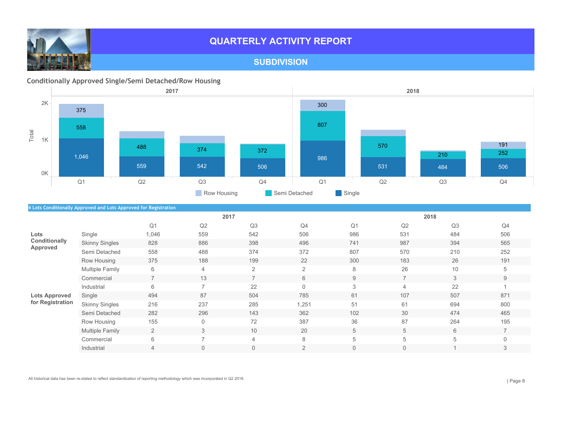

## **SUBDIVISION**

### Conditionally Approved Single/Semi Detached/Row Housing



|                  | 4 Lots Conditionally Approved and Lots Approved for Registration |                |                |                |                |                |                |                |                |
|------------------|------------------------------------------------------------------|----------------|----------------|----------------|----------------|----------------|----------------|----------------|----------------|
|                  |                                                                  |                |                | 2017           |                |                |                | 2018           |                |
|                  |                                                                  | Q <sub>1</sub> | Q2             | Q3             | Q4             | Q <sub>1</sub> | Q2             | Q <sub>3</sub> | Q4             |
| Lots             | Single                                                           | 1,046          | 559            | 542            | 506            | 986            | 531            | 484            | 506            |
| Conditionally    | <b>Skinny Singles</b>                                            | 828            | 886            | 398            | 496            | 741            | 987            | 394            | 565            |
| Approved         | Semi Detached                                                    | 558            | 488            | 374            | 372            | 807            | 570            | 210            | 252            |
|                  | Row Housing                                                      | 375            | 188            | 199            | 22             | 300            | 183            | 26             | 191            |
|                  | <b>Multiple Family</b>                                           | 6              | 4              | 2              | $\overline{2}$ | 8              | 26             | 10             | 5              |
|                  | Commercial                                                       | $\overline{7}$ | 13             | $\overline{7}$ | 6              | $9\,$          | $\overline{7}$ | 3              | 9              |
|                  | Industrial                                                       | 6              |                | 22             | 0              | 3              | 4              | 22             |                |
| Lots Approved    | Single                                                           | 494            | 87             | 504            | 785            | 61             | 107            | 507            | 871            |
| for Registration | <b>Skinny Singles</b>                                            | 216            | 237            | 285            | 1,251          | 51             | 61             | 694            | 800            |
|                  | Semi Detached                                                    | 282            | 296            | 143            | 362            | 102            | 30             | 474            | 465            |
|                  | Row Housing                                                      | 155            | 0              | 72             | 387            | 36             | 87             | 264            | 195            |
|                  | Multiple Family                                                  | $\overline{2}$ | 3              | 10             | 20             | 5              | 5              | 6              | $\overline{7}$ |
|                  | Commercial                                                       | 6              | $\overline{ }$ | $\overline{4}$ | 8              | 5              | 5              | 5              | $\Omega$       |
|                  | Industrial                                                       | 4              | $\Omega$       | $\overline{0}$ | $\overline{2}$ | $\overline{0}$ | $\overline{0}$ |                | 3              |

All historical data has been re-stated to reflect standardization of reporting methodology which was incorporated in Q2 2018.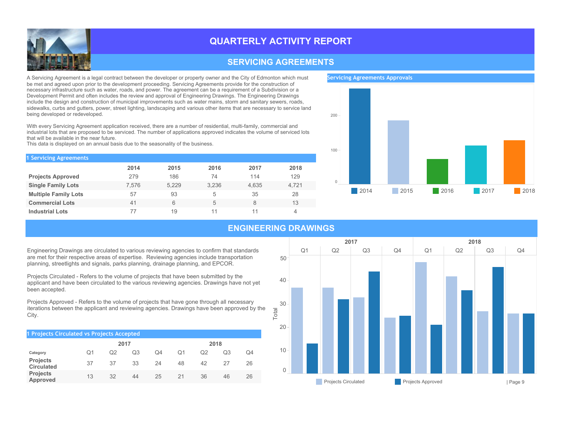

#### **SERVICING AGREEMENTS**

A Servicing Agreement is a legal contract between the developer or property owner and the City of Edmonton which must be met and agreed upon prior to the development proceeding. Servicing Agreements provide for the construction of necessary infrastructure such as water, roads, and power. The agreement can be a requirement of a Subdivision or a Development Permit and often includes the review and approval of Engineering Drawings. The Engineering Drawings include the design and construction of municipal improvements such as water mains, storm and sanitary sewers, roads, sidewalks, curbs and gutters, power, street lighting, landscaping and various other items that are necessary to service land being developed or redeveloped.

With every Servicing Agreement application received, there are a number of residential, multi-family, commercial and industrial lots that are proposed to be serviced. The number of applications approved indicates the volume of serviced lots that will be available in the near future.

This data is displayed on an annual basis due to the seasonality of the business.

| 1 Servicing Agreements      |       |       |       |       |       |
|-----------------------------|-------|-------|-------|-------|-------|
|                             | 2014  | 2015  | 2016  | 2017  | 2018  |
| <b>Projects Approved</b>    | 279   | 186   | 74    | 114   | 129   |
| <b>Single Family Lots</b>   | 7.576 | 5.229 | 3,236 | 4.635 | 4,721 |
| <b>Multiple Family Lots</b> | 57    | 93    | 5     | 35    | 28    |
| <b>Commercial Lots</b>      | 41    | 6     | 5     | 8     | 13    |
| <b>Industrial Lots</b>      | 77    | 19    | 11    | 11    | 4     |

Servicing Agreements Approvals



#### **ENGINEERING DRAWINGS**

Engineering Drawings are circulated to various reviewing agencies to confirm that standards are met for their respective areas of expertise. Reviewing agencies include transportation planning, streetlights and signals, parks planning, drainage planning, and EPCOR.

Projects Circulated - Refers to the volume of projects that have been submitted by the applicant and have been circulated to the various reviewing agencies. Drawings have not yet been accepted.

Projects Approved - Refers to the volume of projects that have gone through all necessary iterations between the applicant and reviewing agencies. Drawings have been approved by the City.

| 1 Projects Circulated vs Projects Accepted |    |    |    |      |    |                |    |    |  |  |  |  |
|--------------------------------------------|----|----|----|------|----|----------------|----|----|--|--|--|--|
|                                            |    |    |    | 2018 |    |                |    |    |  |  |  |  |
| Category                                   | O1 | Q2 | Q3 | Q4   | Ο1 | Q <sub>2</sub> | Q3 | Q4 |  |  |  |  |
| <b>Projects</b><br><b>Circulated</b>       | 37 | 37 | 33 | 24   | 48 | 42             | 27 | 26 |  |  |  |  |
| <b>Projects</b><br><b>Approved</b>         | 13 | 32 | 44 | 25   | 21 | 36             | 46 | 26 |  |  |  |  |

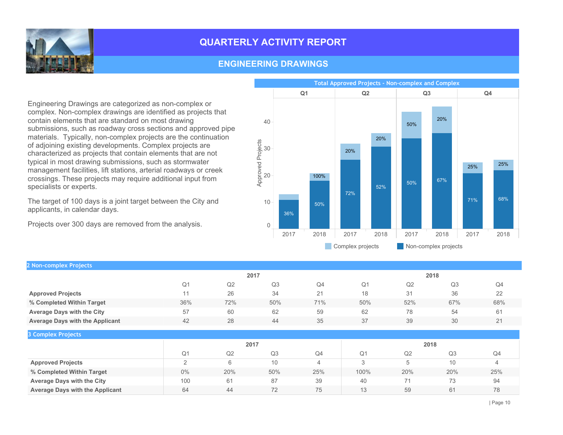

## ENGINEERING DRAWINGS

Engineering Drawings are categorized as non-complex or complex. Non-complex drawings are identified as projects that contain elements that are standard on most drawing submissions, such as roadway cross sections and approved pipe materials. Typically, non-complex projects are the continuation of adjoining existing developments. Complex projects are characterized as projects that contain elements that are not typical in most drawing submissions, such as stormwater management facilities, lift stations, arterial roadways or creek crossings. These projects may require additional input from specialists or experts.

The target of 100 days is a joint target between the City and applicants, in calendar days.

Projects over 300 days are removed from the analysis.



| 2 Non-complex Projects                 |                |      |      |                |                |      |                |     |
|----------------------------------------|----------------|------|------|----------------|----------------|------|----------------|-----|
|                                        |                |      | 2017 |                | 2018           |      |                |     |
|                                        | Q1             | Q2   | Q3   | Q <sub>4</sub> | Q <sub>1</sub> | Q2   | Q <sub>3</sub> | Q4  |
| <b>Approved Projects</b>               | 11             | 26   | 34   | 21             | 18             | 31   | 36             | 22  |
| % Completed Within Target              | 36%            | 72%  | 50%  | 71%            | 50%            | 52%  | 67%            | 68% |
| Average Days with the City             | 57             | 60   | 62   | 59             | 62             | 78   | 54             | 61  |
| <b>Average Days with the Applicant</b> | 42             | 28   | 44   | 35             | 37             | 39   | 30             | 21  |
| <b>3 Complex Projects</b>              |                |      |      |                |                |      |                |     |
|                                        |                | 2017 |      |                |                | 2018 |                |     |
|                                        | Q <sub>1</sub> | Q2   | Q3   | Q4             | Q <sub>1</sub> | Q2   | Q <sub>3</sub> | Q4  |
| <b>Approved Projects</b>               | 2              | 6    | 10   | $\overline{4}$ | 3              | 5    | 10             |     |
| % Completed Within Target              | $0\%$          | 20%  | 50%  | 25%            | 100%           | 20%  | 20%            | 25% |
| <b>Average Days with the City</b>      | 100            | 61   | 87   | 39             | 40             | 71   | 73             | 94  |
| <b>Average Days with the Applicant</b> | 64             | 44   | 72   | 75             | 13             | 59   | 61             | 78  |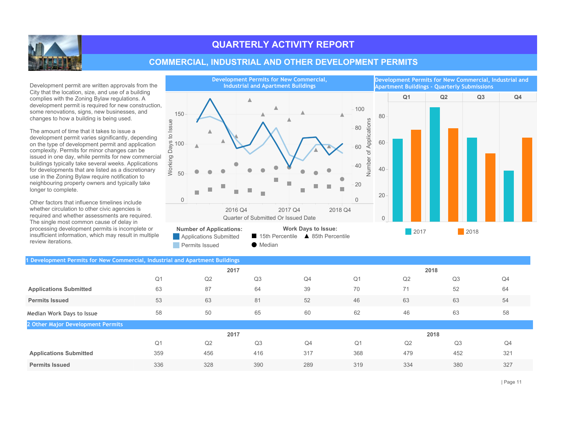

## COMMERCIAL, INDUSTRIAL AND OTHER DEVELOPMENT PERMITS

Development permit are written approvals from the City that the location, size, and use of a building complies with the Zoning Bylaw regulations. A development permit is required for new construction, some renovations, signs, new businesses, and changes to how a building is being used.

The amount of time that it takes to issue a development permit varies significantly, depending on the type of development permit and application complexity. Permits for minor changes can be issued in one day, while permits for new commercial<br>buildings typically take several weeks. Applications<br> $\frac{1}{2}$ <br>for developments that are listed as a discretionary<br> $\frac{1}{2}$ buildings typically take several weeks. Applications for developments that are listed as a discretionary use in the Zoning Bylaw require notification to neighbouring property owners and typically take longer to complete.

Other factors that influence timelines include whether circulation to other civic agencies is required and whether assessments are required. The single most common cause of delay in processing development permits is incomplete or insufficient information, which may result in multiple review iterations.



| 1 Development Permits for New Commercial, Industrial and Apartment Buildings |                |      |                |     |                |      |                |     |  |  |  |  |  |
|------------------------------------------------------------------------------|----------------|------|----------------|-----|----------------|------|----------------|-----|--|--|--|--|--|
|                                                                              |                | 2017 |                |     |                | 2018 |                |     |  |  |  |  |  |
|                                                                              | Q <sub>1</sub> | Q2   | Q3             | Q4  | Q <sub>1</sub> | Q2   | Q <sub>3</sub> | Q4  |  |  |  |  |  |
| <b>Applications Submitted</b>                                                | 63             | 87   | 64             | 39  | 70             | 71   | 52             | 64  |  |  |  |  |  |
| <b>Permits Issued</b>                                                        | 53             | 63   | 81             | 52  | 46             | 63   | 63             | 54  |  |  |  |  |  |
| Median Work Days to Issue                                                    | 58             | 50   | 65             | 60  | 62             | 46   | 63             | 58  |  |  |  |  |  |
| 2 Other Major Development Permits                                            |                |      |                |     |                |      |                |     |  |  |  |  |  |
|                                                                              |                |      | 2017           |     |                |      | 2018           |     |  |  |  |  |  |
|                                                                              | Q <sub>1</sub> | Q2   | Q <sub>3</sub> | Q4  | Q <sub>1</sub> | Q2   | Q <sub>3</sub> | Q4  |  |  |  |  |  |
| <b>Applications Submitted</b>                                                | 359            | 456  | 416            | 317 | 368            | 479  | 452            | 321 |  |  |  |  |  |
| <b>Permits Issued</b>                                                        | 336            | 328  | 390            | 289 | 319            | 334  | 380            | 327 |  |  |  |  |  |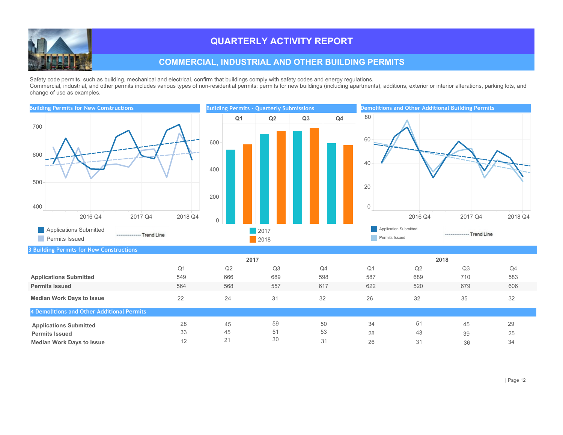

## **COMMERCIAL, INDUSTRIAL AND OTHER BUILDING PERMITS**

Safety code permits, such as building, mechanical and electrical, confirm that buildings comply with safety codes and energy regulations.

Commercial, industrial, and other permits includes various types of non-residential permits: permits for new buildings (including apartments), additions, exterior or interior alterations, parking lots, and change of use as examples.

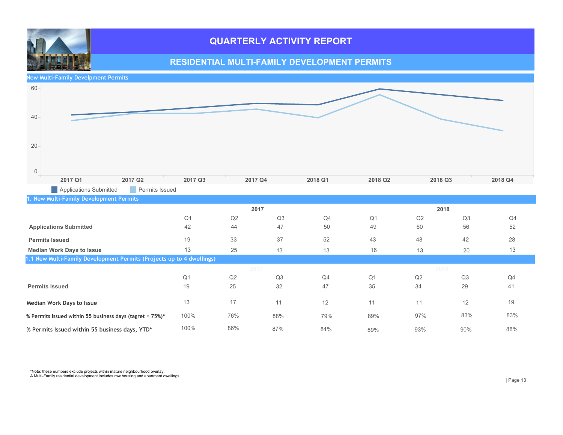### RESIDENTIAL MULTI-FAMILY DEVELOPMENT PERMITS



\*Note: these numbers exclude projects within mature neighbourhood overlay. A Multi-Family residential development includes row housing and apartment dwellings.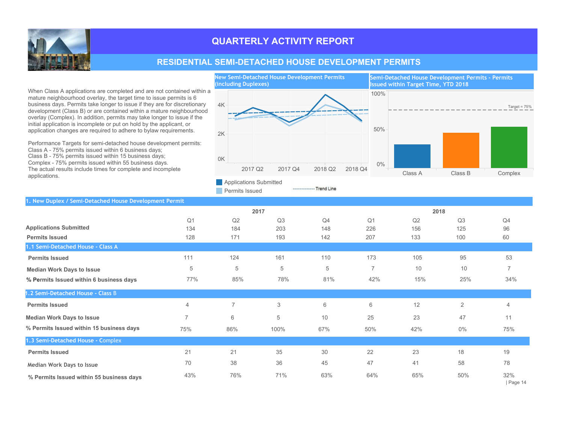

## RESIDENTIAL SEMI-DETACHED HOUSE DEVELOPMENT PERMITS

When Class A applications are completed and are not contained within a mature neighbourhood overlay, the target time to issue permits is 6 business days. Permits take longer to issue if they are for discretionary development (Class B) or are contained within a mature neighbourhood overlay (Complex). In addition, permits may take longer to issue if the initial application is incomplete or put on hold by the applicant, or application changes are required to adhere to bylaw requirements.

Performance Targets for semi-detached house development permits: Class A -  $75%$  permits issued within 6 business days; Class B - 75% permits issued within 15 business days; Complex - 75% permits issued within 55 business days. The actual results include times for complete and incomplete applications.



 $Target = 75%$ 

| applications.                                          | Permits Issued | Applications Submitted | -------------- Trend Line |                |     |                |                  |
|--------------------------------------------------------|----------------|------------------------|---------------------------|----------------|-----|----------------|------------------|
| 1. New Duplex / Semi-Detached House Development Permit |                |                        |                           |                |     |                |                  |
|                                                        |                | 2017                   |                           |                |     | 2018           |                  |
| Q <sub>1</sub>                                         | Q2             | Q3                     | Q4                        | Q <sub>1</sub> | Q2  | Q3             | Q4               |
| <b>Applications Submitted</b><br>134                   | 184            | 203                    | 148                       | 226            | 156 | 125            | 96               |
| <b>Permits Issued</b><br>128                           | 171            | 193                    | 142                       | 207            | 133 | 100            | 60               |
| 1.1 Semi-Detached House - Class A                      |                |                        |                           |                |     |                |                  |
| 111<br><b>Permits Issued</b>                           | 124            | 161                    | 110                       | 173            | 105 | 95             | 53               |
| 5<br><b>Median Work Days to Issue</b>                  | 5              | 5                      | 5                         | $\overline{7}$ | 10  | 10             | 7                |
| 77%<br>% Permits Issued within 6 business days         | 85%            | 78%                    | 81%                       | 42%            | 15% | 25%            | 34%              |
| 1.2 Semi-Detached House - Class B                      |                |                        |                           |                |     |                |                  |
| <b>Permits Issued</b><br>$\overline{4}$                | $\overline{7}$ | 3                      | 6                         | 6              | 12  | $\overline{2}$ | $\overline{4}$   |
| <b>Median Work Days to Issue</b><br>$\overline{7}$     | 6              | 5                      | 10                        | 25             | 23  | 47             | 11               |
| % Permits Issued within 15 business days<br>75%        | 86%            | 100%                   | 67%                       | 50%            | 42% | $0\%$          | 75%              |
| 1.3 Semi-Detached House - Complex                      |                |                        |                           |                |     |                |                  |
| 21<br><b>Permits Issued</b>                            | 21             | 35                     | 30                        | 22             | 23  | 18             | 19               |
| 70<br>Median Work Days to Issue                        | 38             | 36                     | 45                        | 47             | 41  | 58             | 78               |
| 43%<br>% Permits Issued within 55 business days        | 76%            | 71%                    | 63%                       | 64%            | 65% | 50%            | 32%<br>  Page 14 |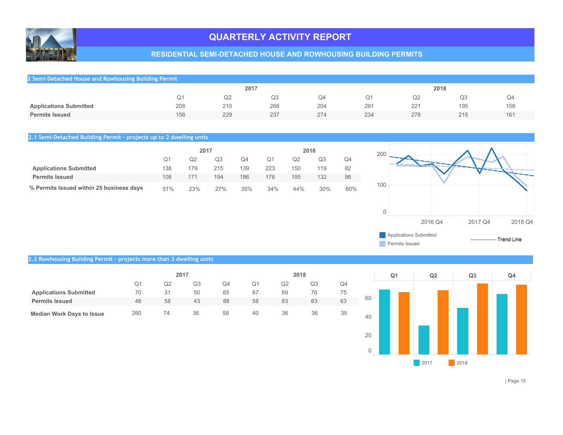

#### RESIDENTIAL SEMI-DETACHED HOUSE AND ROWHOUSING BUILDING PERMITS

| 2 Semi-Detached House and Rowhousing Building Permit |                |      |                |     |      |     |     |     |  |  |  |  |
|------------------------------------------------------|----------------|------|----------------|-----|------|-----|-----|-----|--|--|--|--|
|                                                      |                | 2017 |                |     | 2018 |     |     |     |  |  |  |  |
|                                                      | Q <sub>1</sub> | Q2   | Q <sub>3</sub> | Q4  | Q1   | Q2  | Q3  | Q4  |  |  |  |  |
| <b>Applications Submitted</b>                        | 208            | 210  | 268            | 204 | 291  | 221 | 195 | 158 |  |  |  |  |
| <b>Permits Issued</b>                                | 156            | 229  | 237            | 274 | 234  | 278 | 215 | 161 |  |  |  |  |

#### 2.1 Semi-Detached Building Permit - projects up to 2 dwelling units

|                                          | 2017 |     |     |     | 2018 |     |     |     |
|------------------------------------------|------|-----|-----|-----|------|-----|-----|-----|
|                                          | Ο1   | Q2  | Q3  | Q4  | Ο1   | Q2  | Q3  | Q4  |
| <b>Applications Submitted</b>            | 138  | 179 | 215 | 139 | 223  | 150 | 119 | 82  |
| <b>Permits Issued</b>                    | 108  | 171 | 194 | 186 | 176  | 195 | 132 | 98  |
| % Permits Issued within 25 business days | 51%  | 23% | 27% | 35% | 34%  | 44% | 30% | 60% |



#### 2.2 Rowhousing Building Permit - projects more than 3 dwelling units

|                                  |     | 2018 |    |    |    |    |    |    |
|----------------------------------|-----|------|----|----|----|----|----|----|
|                                  | Q1  | Q2   | Q3 | Q4 | Q1 | Q2 | Q3 | Q4 |
| <b>Applications Submitted</b>    | 70  | 31   | 50 | 65 | 67 | 69 | 76 | 75 |
| <b>Permits Issued</b>            | 48  | 58   | 43 | 88 | 58 | 83 | 83 | 63 |
| <b>Median Work Days to Issue</b> | 260 | 74   | 36 | 58 | 40 | 36 | 36 | 35 |

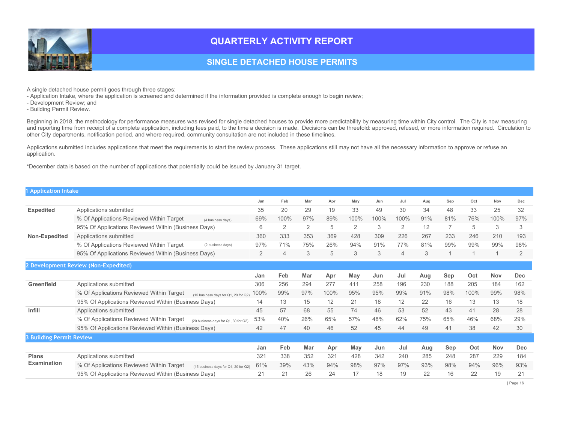

#### SINGLE DETACHED HOUSE PERMITS

A single detached house permit goes through three stages:

- Application Intake, where the application is screened and determined if the information provided is complete enough to begin review;
- Development Review; and
- Building Permit Review.

Beginning in 2018, the methodology for performance measures was revised for single detached houses to provide more predictability by measuring time within City control. The City is now measuring and reporting time from receipt of a complete application, including fees paid, to the time a decision is made. Decisions can be threefold: approved, refused, or more information required. Circulation to other City departments, notification period, and where required, community consultation are not included in these timelines.

Applications submitted includes applications that meet the requirements to start the review process. These applications still may not have all the necessary information to approve or refuse an application.

\*DecemberdataisbasedonthenumberofapplicationsthatpotentiallycouldbeissuedbyJanuary31target.

#### 1 Application Intake

|                          |                                                                                  | Jan  | Feb  | Mar | Apr  | May            | Jun  | Jul            | Aug | Sep | Oct  | Nov  | Dec            |
|--------------------------|----------------------------------------------------------------------------------|------|------|-----|------|----------------|------|----------------|-----|-----|------|------|----------------|
| <b>Expedited</b>         | Applications submitted                                                           | 35   | 20   | 29  | 19   | 33             | 49   | 30             | 34  | 48  | 33   | 25   | 32             |
|                          | % Of Applications Reviewed Within Target<br>(4 business days)                    | 69%  | 100% | 97% | 89%  | 100%           | 100% | 100%           | 91% | 81% | 76%  | 100% | 97%            |
|                          | 95% Of Applications Reviewed Within (Business Days)                              | 6    | 2    | 2   | 5    | $\overline{2}$ | 3    | $\overline{2}$ | 12  |     | 5    | 3    | 3              |
| Non-Expedited            | Applications submitted                                                           | 360  | 333  | 353 | 369  | 428            | 309  | 226            | 267 | 233 | 246  | 210  | 193            |
|                          | % Of Applications Reviewed Within Target<br>(2 business days)                    | 97%  | 71%  | 75% | 26%  | 94%            | 91%  | 77%            | 81% | 99% | 99%  | 99%  | 98%            |
|                          | 95% Of Applications Reviewed Within (Business Days)                              | 2    | 4    | 3   | 5    | 3              | 3    | $\overline{4}$ | 3   |     |      |      | $\overline{2}$ |
|                          | 2 Development Review (Non-Expedited)                                             |      |      |     |      |                |      |                |     |     |      |      |                |
|                          |                                                                                  | Jan  | Feb  | Mar | Apr  | May            | Jun  | Jul            | Aug | Sep | Oct  | Nov  | <b>Dec</b>     |
| Greenfield               | Applications submitted                                                           | 306  | 256  | 294 | 277  | 411            | 258  | 196            | 230 | 188 | 205  | 184  | 162            |
|                          | % Of Applications Reviewed Within Target<br>(15 business days for Q1, 20 for Q2) | 100% | 99%  | 97% | 100% | 95%            | 95%  | 99%            | 91% | 98% | 100% | 99%  | 98%            |
|                          | 95% Of Applications Reviewed Within (Business Days)                              | 14   | 13   | 15  | 12   | 21             | 18   | 12             | 22  | 16  | 13   | 13   | 18             |
| Infill                   | Applications submitted                                                           | 45   | 57   | 68  | 55   | 74             | 46   | 53             | 52  | 43  | 41   | 28   | 28             |
|                          | % Of Applications Reviewed Within Target<br>(20 business days for Q1, 30 for Q2) | 53%  | 40%  | 26% | 65%  | 57%            | 48%  | 62%            | 75% | 65% | 46%  | 68%  | 29%            |
|                          | 95% Of Applications Reviewed Within (Business Days)                              | 42   | 47   | 40  | 46   | 52             | 45   | 44             | 49  | 41  | 38   | 42   | 30             |
| 3 Building Permit Review |                                                                                  |      |      |     |      |                |      |                |     |     |      |      |                |
|                          |                                                                                  | Jan  | Feb  | Mar | Apr  | May            | Jun  | Jul            | Aug | Sep | Oct  | Nov  | Dec            |
| <b>Plans</b>             | Applications submitted                                                           | 321  | 338  | 352 | 321  | 428            | 342  | 240            | 285 | 248 | 287  | 229  | 184            |
| <b>Examination</b>       | % Of Applications Reviewed Within Target<br>(15 business days for Q1, 20 for Q2) | 61%  | 39%  | 43% | 94%  | 98%            | 97%  | 97%            | 93% | 98% | 94%  | 96%  | 93%            |
|                          | 95% Of Applications Reviewed Within (Business Days)                              | 21   | 21   | 26  | 24   | 17             | 18   | 19             | 22  | 16  | 22   | 19   | 21             |
|                          |                                                                                  |      |      |     |      |                |      |                |     |     |      |      |                |

|Page16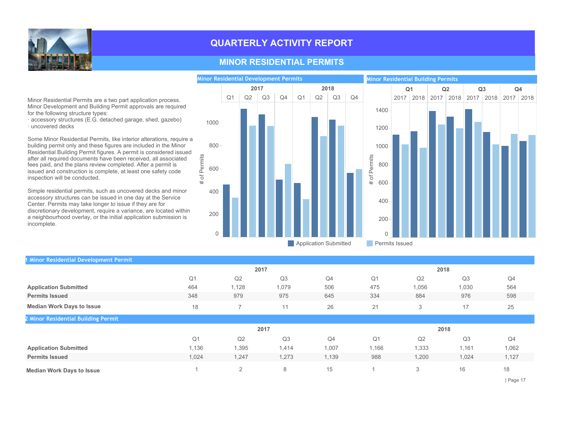

### **MINOR RESIDENTIAL PERMITS**

Minor Residential Permits are a two part application process. Minor Development and Building Permit approvals are required for the following structure types:

· accessory structures (E.G. detached garage, shed, gazebo)  $\cdot$  uncovered decks

Some Minor Residential Permits, like interior alterations, require a building permit only and these figures are included in the Minor Residential Building Permit figures. A permit is considered issued after all required documents have been received, all associated fees paid, and the plans review completed. After a permit is issued and construction is complete, at least one safety code inspection will be conducted.

Simple residential permits, such as uncovered decks and minor accessory structures can be issued in one day at the Service Center. Permits may take longer to issue if they are for discretionary development, require a variance, are located within a neighbourhood overlay, or the initial application submission is incomplete.



#### 1 Minor Residential Development Permit

|                                     |                | 2017  |                |       | 2018           |       |                |         |  |  |
|-------------------------------------|----------------|-------|----------------|-------|----------------|-------|----------------|---------|--|--|
|                                     | Q <sub>1</sub> | Q2    | Q <sub>3</sub> | Q4    | Q <sub>1</sub> | Q2    | Q <sub>3</sub> | Q4      |  |  |
| <b>Application Submitted</b>        | 464            | 1,128 | 1,079          | 506   | 475            | 1,056 | 1,030          | 564     |  |  |
| <b>Permits Issued</b>               | 348            | 979   | 975            | 645   | 334            | 884   | 976            | 598     |  |  |
| <b>Median Work Days to Issue</b>    | 18             |       | 11             | 26    | 21             | 3     | 17             | 25      |  |  |
| 2 Minor Residential Building Permit |                |       |                |       |                |       |                |         |  |  |
|                                     |                |       | 2017           |       |                |       | 2018           |         |  |  |
|                                     | Q <sub>1</sub> | Q2    | Q <sub>3</sub> | Q4    | Q <sub>1</sub> | Q2    | Q <sub>3</sub> | Q4      |  |  |
| <b>Application Submitted</b>        | 1,136          | 1,395 | 1,414          | 1,007 | 1,166          | 1,333 | 1,161          | 1,062   |  |  |
| <b>Permits Issued</b>               | 1,024          | 1,247 | 1,273          | 1,139 | 988            | 1,200 | 1,024          | 1,127   |  |  |
| <b>Median Work Days to Issue</b>    |                | 2     | 8              | 15    | $\overline{A}$ | 3     | 16             | 18      |  |  |
|                                     |                |       |                |       |                |       |                | Page 17 |  |  |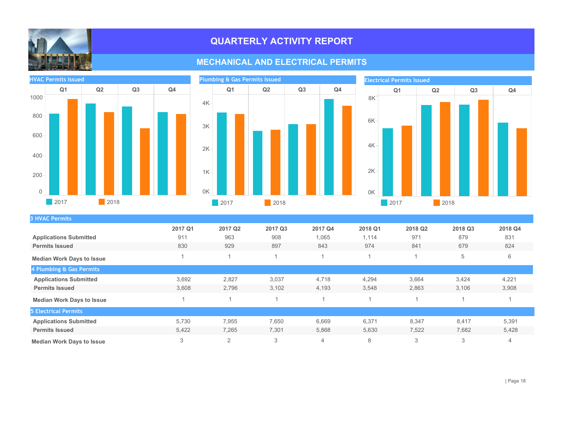

## **MECHANICAL AND ELECTRICAL PERMITS**







| <b>3 HVAC Permits</b>            |         |                     |         |                |         |                     |         |         |
|----------------------------------|---------|---------------------|---------|----------------|---------|---------------------|---------|---------|
|                                  | 2017 Q1 | 2017 Q <sub>2</sub> | 2017 Q3 | 2017 Q4        | 2018 Q1 | 2018 Q <sub>2</sub> | 2018 Q3 | 2018 Q4 |
| <b>Applications Submitted</b>    | 911     | 963                 | 908     | 1,065          | 1,114   | 971                 | 879     | 831     |
| <b>Permits Issued</b>            | 830     | 929                 | 897     | 843            | 974     | 841                 | 679     | 824     |
| <b>Median Work Days to Issue</b> |         |                     |         |                |         |                     | 5       | 6       |
| 4 Plumbing & Gas Permits         |         |                     |         |                |         |                     |         |         |
| <b>Applications Submitted</b>    | 3,692   | 2,827               | 3,037   | 4,718          | 4,294   | 3,664               | 3,424   | 4,221   |
| <b>Permits Issued</b>            | 3,608   | 2,796               | 3,102   | 4,193          | 3,548   | 2,863               | 3,106   | 3,908   |
| <b>Median Work Days to Issue</b> |         |                     |         |                |         |                     |         |         |
| <b>5 Electrical Permits</b>      |         |                     |         |                |         |                     |         |         |
| <b>Applications Submitted</b>    | 5,730   | 7,955               | 7,650   | 6,669          | 6,371   | 8,347               | 8,417   | 5,391   |
| <b>Permits Issued</b>            | 5,422   | 7,265               | 7,301   | 5,868          | 5,630   | 7,522               | 7,682   | 5,428   |
| <b>Median Work Days to Issue</b> | 3       | $\overline{2}$      | 3       | $\overline{4}$ | 8       | 3                   | 3       | 4       |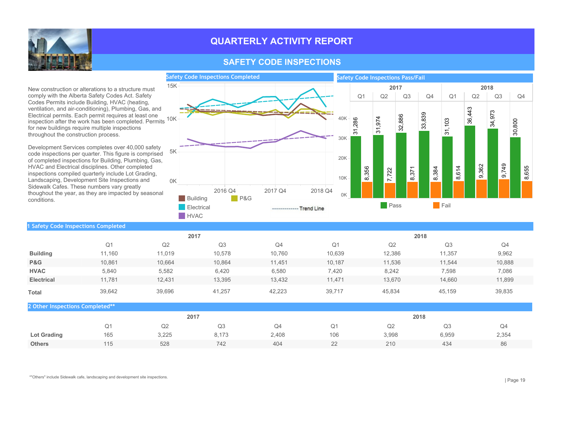

### **SAFETY CODE INSPECTIONS**

New construction or alterations to a structure must comply with the Alberta Safety Codes Act. Safety Codes Permits include Building, HVAC (heating, ventilation, and air-conditioning), Plumbing, Gas, and Electrical permits. Each permit requires at least one Electrical permits: Each permit requires at least one<br>inspection after the work has been completed. Permits <sup>10K-1</sup> for new buildings require multiple inspections throughout the construction process.

Development Services completes over 40,000 safety code inspections per quarter. This figure is comprised of completed inspections for Building, Plumbing, Gas, HVAC and Electrical disciplines. Other completed inspections compiled quarterly include Lot Grading, Landscaping, Development Site Inspections and Sidewalk Cafes. These numbers vary greatly thoughout the year, as they are impacted by seasonal conditions.



| 1 Safety Code Inspections Completed |                |        |                |        |                |        |        |        |
|-------------------------------------|----------------|--------|----------------|--------|----------------|--------|--------|--------|
|                                     |                |        | 2017           |        |                |        | 2018   |        |
|                                     | Q <sub>1</sub> | Q2     | Q <sub>3</sub> | Q4     | Q <sub>1</sub> | Q2     | Q3     | Q4     |
| <b>Building</b>                     | 11,160         | 11,019 | 10,578         | 10,760 | 10,639         | 12,386 | 11,357 | 9,962  |
| <b>P&amp;G</b>                      | 10,861         | 10,664 | 10,864         | 11,451 | 10,187         | 11,536 | 11,544 | 10,888 |
| <b>HVAC</b>                         | 5,840          | 5,582  | 6,420          | 6,580  | 7,420          | 8,242  | 7,598  | 7,086  |
| <b>Electrical</b>                   | 11,781         | 12,431 | 13,395         | 13,432 | 11,471         | 13,670 | 14,660 | 11,899 |
| <b>Total</b>                        | 39,642         | 39,696 | 41,257         | 42,223 | 39,717         | 45,834 | 45,159 | 39,835 |
| 2 Other Inspections Completed**     |                |        |                |        |                |        |        |        |
|                                     |                |        | 2017           |        |                |        | 2018   |        |
|                                     | Q <sub>1</sub> | Q2     | Q <sub>3</sub> | Q4     | Q <sub>1</sub> | Q2     | Q3     | Q4     |
| <b>Lot Grading</b>                  | 165            | 3,225  | 8,173          | 2,408  | 106            | 3,998  | 6,959  | 2,354  |

115

**Others** 115 115 528 742 404

528

742

86

434

210

22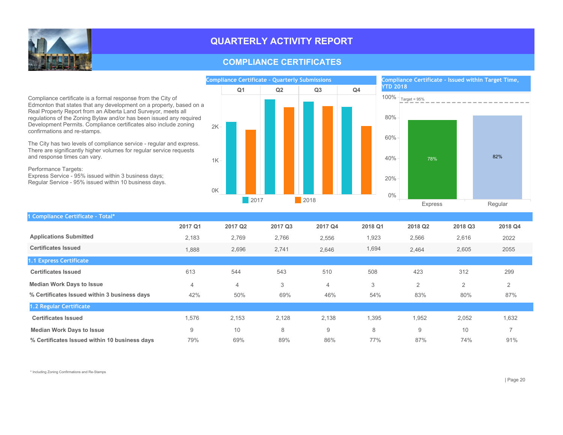

### **COMPLIANCE CERTIFICATES**

Compliance certificate is a formal response from the City of Edmonton that states that any development on a property, based on a Real Property Report from an Alberta Land Surveyor, meets all regulations of the Zoning Bylaw and/or has been issued any required Development Permits. Compliance certificates also include zoning confirmations and re-stamps.

The City has two levels of compliance service - regular and express. There are significantly higher volumes for regular service requests and response times can vary.

Performance Targets: Express Service - 95% issued within 3 business days; Regular Service - 95% issued within 10 business days.





| 1 Compliance Certificate - Total*             |         |                     |         |                |         |                     |         |                |
|-----------------------------------------------|---------|---------------------|---------|----------------|---------|---------------------|---------|----------------|
|                                               | 2017 Q1 | 2017 Q <sub>2</sub> | 2017 Q3 | 2017 Q4        | 2018 Q1 | 2018 Q <sub>2</sub> | 2018 Q3 | 2018 Q4        |
| <b>Applications Submitted</b>                 | 2,183   | 2,769               | 2,766   | 2,556          | 1,923   | 2,566               | 2,616   | 2022           |
| <b>Certificates Issued</b>                    | 1,888   | 2,696               | 2,741   | 2,646          | 1,694   | 2,464               | 2,605   | 2055           |
| 1.1 Express Certificate                       |         |                     |         |                |         |                     |         |                |
| <b>Certificates Issued</b>                    | 613     | 544                 | 543     | 510            | 508     | 423                 | 312     | 299            |
| <b>Median Work Days to Issue</b>              | 4       | 4                   | 3       | $\overline{4}$ | 3       | $\overline{2}$      | 2       | $\overline{2}$ |
| % Certificates Issued within 3 business days  | 42%     | 50%                 | 69%     | 46%            | 54%     | 83%                 | 80%     | 87%            |
| 1.2 Regular Certificate                       |         |                     |         |                |         |                     |         |                |
| <b>Certificates Issued</b>                    | 1,576   | 2,153               | 2,128   | 2,138          | 1,395   | 1,952               | 2,052   | 1,632          |
| <b>Median Work Days to Issue</b>              | 9       | 10                  | 8       | 9              | 8       | 9                   | 10      | $\overline{ }$ |
| % Certificates Issued within 10 business days | 79%     | 69%                 | 89%     | 86%            | 77%     | 87%                 | 74%     | 91%            |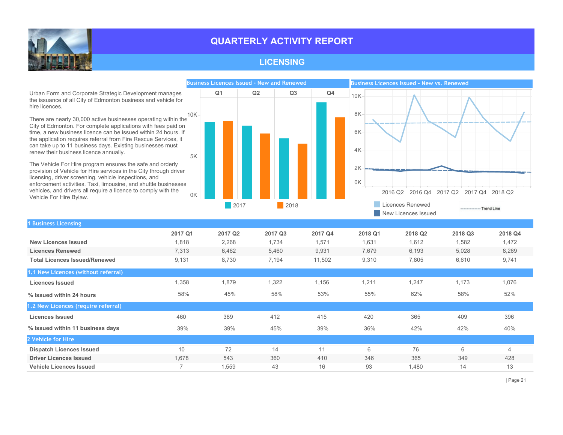

#### **LICENSING**

Urban Form and Corporate Strategic Development manages the issuance of all City of Edmonton business and vehicle for hire licences.

− 10K<br>There are nearly 30,000 active businesses operating within the City of Edmonton. For complete applications with fees paid on time, a new business licence can be issued within 24 hours. If the application requires referral from Fire Rescue Services, it can take up to 11 business days. Existing businesses must renew their business licence annually.

The Vehicle For Hire program ensures the safe and orderly provision of Vehicle for Hire services in the City through driver licensing, driver screening, vehicle inspections, and enforcement activities. Taxi, limousine, and shuttle businesses vehicles, and drivers all require a licence to comply with the Vehicle For Hire Bylaw.





| <b>Business Licensing</b>            |                |                     |         |         |         |         |         |         |
|--------------------------------------|----------------|---------------------|---------|---------|---------|---------|---------|---------|
|                                      | 2017 Q1        | 2017 Q <sub>2</sub> | 2017 Q3 | 2017 Q4 | 2018 Q1 | 2018 Q2 | 2018 Q3 | 2018 Q4 |
| <b>New Licences Issued</b>           | 1,818          | 2,268               | 1,734   | 1,571   | 1,631   | 1,612   | 1,582   | 1,472   |
| <b>Licences Renewed</b>              | 7.313          | 6.462               | 5.460   | 9,931   | 7.679   | 6,193   | 5,028   | 8,269   |
| <b>Total Licences Issued/Renewed</b> | 9,131          | 8,730               | 7,194   | 11,502  | 9,310   | 7,805   | 6,610   | 9,741   |
| 1.1 New Licences (without referral)  |                |                     |         |         |         |         |         |         |
| Licences Issued                      | 1,358          | 1,879               | 1,322   | 1,156   | 1,211   | 1,247   | 1,173   | 1,076   |
| % Issued within 24 hours             | 58%            | 45%                 | 58%     | 53%     | 55%     | 62%     | 58%     | 52%     |
| 1.2 New Licences (require referral)  |                |                     |         |         |         |         |         |         |
| <b>Licences Issued</b>               | 460            | 389                 | 412     | 415     | 420     | 365     | 409     | 396     |
| % Issued within 11 business days     | 39%            | 39%                 | 45%     | 39%     | 36%     | 42%     | 42%     | 40%     |
| 2 Vehicle for Hire                   |                |                     |         |         |         |         |         |         |
| <b>Dispatch Licences Issued</b>      | 10             | 72                  | 14      | 11      | 6       | 76      | 6       | 4       |
| <b>Driver Licences Issued</b>        | 1,678          | 543                 | 360     | 410     | 346     | 365     | 349     | 428     |
| <b>Vehicle Licences Issued</b>       | $\overline{ }$ | 1,559               | 43      | 16      | 93      | 1,480   | 14      | 13      |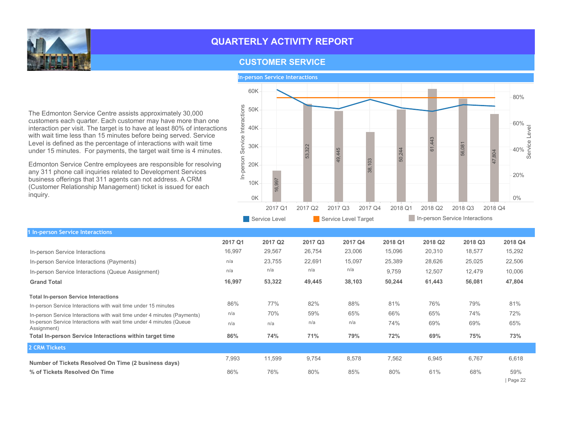

### **CUSTOMER SERVICE**



The Edmonton Service Centre assists approximately 30,000 customers each quarter. Each customer may have more than one interaction per visit. The target is to have at least 80% of interactions with wait time less than 15 minutes before being served. Service Level is defined as the percentage of interactions with wait time under 15 minutes. For payments, the target wait time is 4 minutes.

Edmonton Service Centre employees are responsible for resolving any 311 phone call inquiries related to Development Services business offerings that 311 agents can not address. A CRM (Customer Relationship Management) ticket is issued for each inquiry.

| <b>1 In-person Service Interactions</b>                                             |         |                     |         |         |         |         |         |                |
|-------------------------------------------------------------------------------------|---------|---------------------|---------|---------|---------|---------|---------|----------------|
|                                                                                     | 2017 Q1 | 2017 Q <sub>2</sub> | 2017 Q3 | 2017 Q4 | 2018 Q1 | 2018 Q2 | 2018 Q3 | 2018 Q4        |
| In-person Service Interactions                                                      | 16,997  | 29,567              | 26,754  | 23,006  | 15,096  | 20,310  | 18,577  | 15,292         |
| In-person Service Interactions (Payments)                                           | n/a     | 23,755              | 22,691  | 15,097  | 25,389  | 28,626  | 25,025  | 22,506         |
| In-person Service Interactions (Queue Assignment)                                   | n/a     | n/a                 | n/a     | n/a     | 9,759   | 12,507  | 12,479  | 10,006         |
| <b>Grand Total</b>                                                                  | 16,997  | 53,322              | 49,445  | 38,103  | 50,244  | 61,443  | 56,081  | 47,804         |
| <b>Total In-person Service Interactions</b>                                         |         |                     |         |         |         |         |         |                |
| In-person Service Interactions with wait time under 15 minutes                      | 86%     | 77%                 | 82%     | 88%     | 81%     | 76%     | 79%     | 81%            |
| In-person Service Interactions with wait time under 4 minutes (Payments)            | n/a     | 70%                 | 59%     | 65%     | 66%     | 65%     | 74%     | 72%            |
| In-person Service Interactions with wait time under 4 minutes (Queue<br>Assignment) | n/a     | n/a                 | n/a     | n/a     | 74%     | 69%     | 69%     | 65%            |
| Total In-person Service Interactions within target time                             | 86%     | 74%                 | 71%     | 79%     | 72%     | 69%     | 75%     | 73%            |
| 2 CRM Tickets                                                                       |         |                     |         |         |         |         |         |                |
| Number of Tickets Resolved On Time (2 business days)                                | 7,993   | 11,599              | 9,754   | 8,578   | 7,562   | 6,945   | 6,767   | 6,618          |
| % of Tickets Resolved On Time                                                       | 86%     | 76%                 | 80%     | 85%     | 80%     | 61%     | 68%     | 59%<br>Page 22 |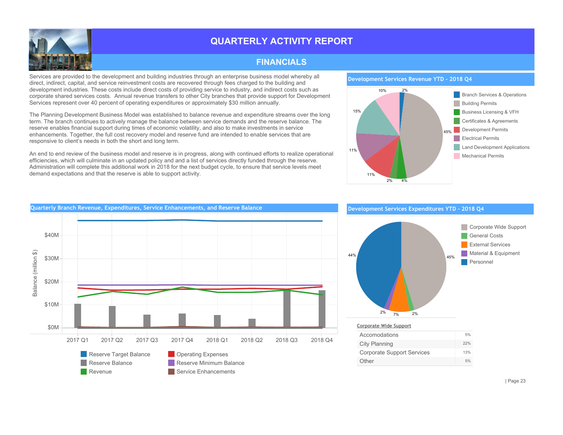

## FINANCIALS

Services are provided to the development and building industries through an enterprise business model whereby all direct, indirect, capital, and service reinvestment costs are recovered through fees charged to the building and development industries. These costs include direct costs of providing service to industry, and indirect costs such as corporate shared services costs. Annual revenue transfers to other City branches that provide support for Development Services represent over 40 percent of operating expenditures or approximately \$30 million annually.

The Planning Development Business Model was established to balance revenue and expenditure streams over the long term. The branch continues to actively manage the balance between service demands and the reserve balance. The reserve enables financial support during times of economic volatility, and also to make investments in service enhancements. Together, the full cost recovery model and reserve fund are intended to enable services that are responsive to client's needs in both the short and long term.

An end to end review of the business model and reserve is in progress, along with continued efforts to realize operational efficiencies, which will culminate in an updated policy and and a list of services directly funded through the reserve. Administration will complete this additional work in 2018 for the next budget cycle, to ensure that service levels meet demand expectations and that the reserve is able to support activity.

#### Development Services Revenue YTD - 2018 Q4





#### Development Services Expenditures YTD - 2018 Q4



13%

22% 5%